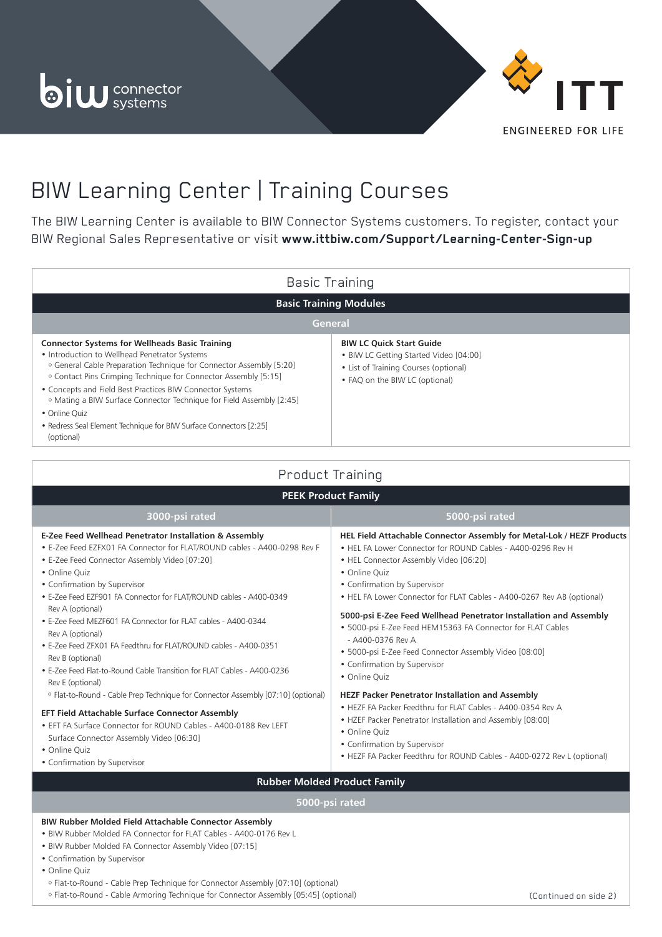



# BIW Learning Center | Training Courses

The BIW Learning Center is available to BIW Connector Systems customers. To register, contact your BIW Regional Sales Representative or visit **www.ittbiw.com/Support/Learning-Center-Sign-up**

| <b>Basic Training</b>                                                                                                                                                                                                                                                                                                                                                                                                                                                                                                       |                                                                                                                                                      |
|-----------------------------------------------------------------------------------------------------------------------------------------------------------------------------------------------------------------------------------------------------------------------------------------------------------------------------------------------------------------------------------------------------------------------------------------------------------------------------------------------------------------------------|------------------------------------------------------------------------------------------------------------------------------------------------------|
| <b>Basic Training Modules</b>                                                                                                                                                                                                                                                                                                                                                                                                                                                                                               |                                                                                                                                                      |
| General                                                                                                                                                                                                                                                                                                                                                                                                                                                                                                                     |                                                                                                                                                      |
| <b>Connector Systems for Wellheads Basic Training</b><br>• Introduction to Wellhead Penetrator Systems<br><sup>o</sup> General Cable Preparation Technique for Connector Assembly [5:20]<br><sup>o</sup> Contact Pins Crimping Technique for Connector Assembly [5:15]<br>• Concepts and Field Best Practices BIW Connector Systems<br><sup>o</sup> Mating a BIW Surface Connector Technique for Field Assembly [2:45]<br>• Online Quiz<br>• Redress Seal Element Technique for BIW Surface Connectors [2:25]<br>(optional) | <b>BIW LC Quick Start Guide</b><br>. BIW LC Getting Started Video [04:00]<br>• List of Training Courses (optional)<br>• FAQ on the BIW LC (optional) |
| Product Training                                                                                                                                                                                                                                                                                                                                                                                                                                                                                                            |                                                                                                                                                      |
| <b>PEEK Product Family</b>                                                                                                                                                                                                                                                                                                                                                                                                                                                                                                  |                                                                                                                                                      |
| 3000-psi rated                                                                                                                                                                                                                                                                                                                                                                                                                                                                                                              | 5000-psi rated                                                                                                                                       |
| E-Zee Feed Wellhead Penetrator Installation & Assembly<br>• E-Zee Feed EZFX01 FA Connector for FLAT/ROUND cables - A400-0298 Rev F                                                                                                                                                                                                                                                                                                                                                                                          | HEL Field Attachable Connector Assembly for Metal-Lok / HEZF Products<br>• HEL FA Lower Connector for ROUND Cables - A400-0296 Rev H                 |

• HEL Connector Assembly Video [06:20]

• HEL FA Lower Connector for FLAT Cables - A400-0267 Rev AB (optional) **5000-psi E-Zee Feed Wellhead Penetrator Installation and Assembly**

• HEZF FA Packer Feedthru for ROUND Cables - A400-0272 Rev L (optional)

• 5000-psi E-Zee Feed HEM15363 FA Connector for FLAT Cables

• 5000-psi E-Zee Feed Connector Assembly Video [08:00]

**HEZF Packer Penetrator Installation and Assembly** • HEZF FA Packer Feedthru for FLAT Cables - A400-0354 Rev A • HZEF Packer Penetrator Installation and Assembly [08:00]

• Confirmation by Supervisor

- A400-0376 Rev A

• Confirmation by Supervisor

• Confirmation by Supervisor

• Online Quiz

• Online Quiz

• Online Quiz

- E-Zee Feed Connector Assembly Video [07:20]
- Online Quiz
- Confirmation by Supervisor
- E-Zee Feed EZF901 FA Connector for FLAT/ROUND cables A400-0349 Rev A (optional)
- E-Zee Feed MEZF601 FA Connector for FLAT cables A400-0344 Rev A (optional)
- E-Zee Feed ZFX01 FA Feedthru for FLAT/ROUND cables A400-0351 Rev B (optional)
- E-Zee Feed Flat-to-Round Cable Transition for FLAT Cables A400-0236 Rev E (optional)

º Flat-to-Round - Cable Prep Technique for Connector Assembly [07:10] (optional)

#### **EFT Field Attachable Surface Connector Assembly**

- EFT FA Surface Connector for ROUND Cables A400-0188 Rev LEFT Surface Connector Assembly Video [06:30]
- Online Quiz
- Confirmation by Supervisor

## **Rubber Molded Product Family**

### **5000-psi rated**

### **BIW Rubber Molded Field Attachable Connector Assembly**

- BIW Rubber Molded FA Connector for FLAT Cables A400-0176 Rev L
- BIW Rubber Molded FA Connector Assembly Video [07:15]
- Confirmation by Supervisor
- Online Quiz
- º Flat-to-Round Cable Prep Technique for Connector Assembly [07:10] (optional)
- º Flat-to-Round Cable Armoring Technique for Connector Assembly [05:45] (optional) (Continued on side 2)